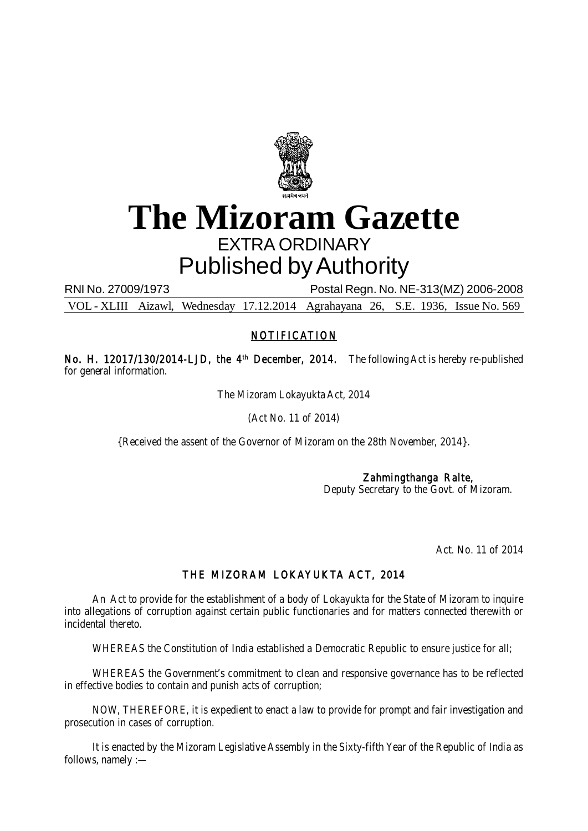

# **The Mizoram Gazette** EXTRA ORDINARY Published by Authority

RNI No. 27009/1973 Postal Regn. No. NE-313(MZ) 2006-2008

VOL - XLIII Aizawl, Wednesday 17.12.2014 Agrahayana 26, S.E. 1936, Issue No. 569

# NOTIFICATION

No. H. 12017/130/2014-LJD, the 4<sup>th</sup> December, 2014. The following Act is hereby re-published for general information.

The Mizoram Lokayukta Act, 2014

(Act No. 11 of 2014)

{Received the assent of the Governor of Mizoram on the 28th November, 2014}.

# Zahmingthanga Ralte,

Deputy Secretary to the Govt. of Mizoram.

Act. No. 11 of 2014

# THE MIZORAM LOKAYUKTA ACT, 2014

An Act to provide for the establishment of a body of Lokayukta for the State of Mizoram to inquire into allegations of corruption against certain public functionaries and for matters connected therewith or incidental thereto.

WHEREAS the Constitution of India established a Democratic Republic to ensure justice for all;

WHEREAS the Government's commitment to clean and responsive governance has to be reflected in effective bodies to contain and punish acts of corruption;

NOW, THEREFORE, it is expedient to enact a law to provide for prompt and fair investigation and prosecution in cases of corruption.

It is enacted by the Mizoram Legislative Assembly in the Sixty-fifth Year of the Republic of India as follows, namely :—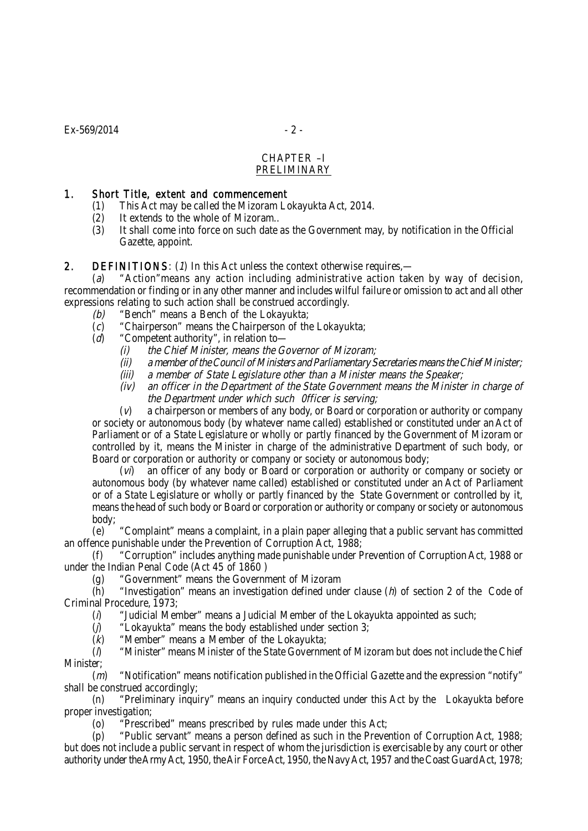#### CHAPTER –I PRELIMINARY

#### 1. Short Title, extent and commencement

- (1) This Act may be called the Mizoram Lokayukta Act, 2014.
- (2) It extends to the whole of Mizoram..
- (3) It shall come into force on such date as the Government may, by notification in the Official Gazette, appoint.

## 2. DEFINITIONS:  $(1)$  In this Act unless the context otherwise requires,—

(a) "Action"means any action including administrative action taken by way of decision, recommendation or finding or in any other manner and includes wilful failure or omission to act and all other expressions relating to such action shall be construed accordingly.

- (b) "Bench" means a Bench of the Lokayukta;
- $(c)$  "Chairperson" means the Chairperson of the Lokayukta;
- (d) "Competent authority", in relation to-
	- (i) the Chief Minister, means the Governor of Mizoram;
	- (ii) a member of the Council of Ministers and Parliamentary Secretaries means the Chief Minister;
	- (iii) a member of State Legislature other than a Minister means the Speaker;
	- (iv) an officer in the Department of the State Government means the Minister in charge of the Department under which such 0fficer is serving;

(v) a chairperson or members of any body, or Board or corporation or authority or company or society or autonomous body (by whatever name called) established or constituted under an Act of Parliament or of a State Legislature or wholly or partly financed by the Government of Mizoram or controlled by it, means the Minister in charge of the administrative Department of such body, or Board or corporation or authority or company or society or autonomous body;

(vi) an officer of any body or Board or corporation or authority or company or society or autonomous body (by whatever name called) established or constituted under an Act of Parliament or of a State Legislature or wholly or partly financed by the State Government or controlled by it, means the head of such body or Board or corporation or authority or company or society or autonomous body;

(e) "Complaint" means a complaint, in a plain paper alleging that a public servant has committed an offence punishable under the Prevention of Corruption Act, 1988;

(f) "Corruption" includes anything made punishable under Prevention of Corruption Act, 1988 or under the Indian Penal Code (Act 45 of 1860 )

(g) "Government" means the Government of Mizoram

 $(h)$  "Investigation" means an investigation defined under clause  $(h)$  of section 2 of the Code of Criminal Procedure, 1973;

 $(i)$  "Judicial Member" means a Judicial Member of the Lokayukta appointed as such;

 $(j)$  "Lokayukta" means the body established under section 3;

 $(k)$  "Member" means a Member of the Lokayukta:

(l) "Minister" means Minister of the State Government of Mizoram but does not include the Chief Minister;

 $(m)$  "Notification" means notification published in the Official Gazette and the expression "notify" shall be construed accordingly;

(n) "Preliminary inquiry" means an inquiry conducted under this Act by the Lokayukta before proper investigation;

(o) "Prescribed" means prescribed by rules made under this Act;

(p) "Public servant" means a person defined as such in the Prevention of Corruption Act, 1988; but does not include a public servant in respect of whom the jurisdiction is exercisable by any court or other authority under the Army Act, 1950, the Air Force Act, 1950, the Navy Act, 1957 and the Coast Guard Act, 1978;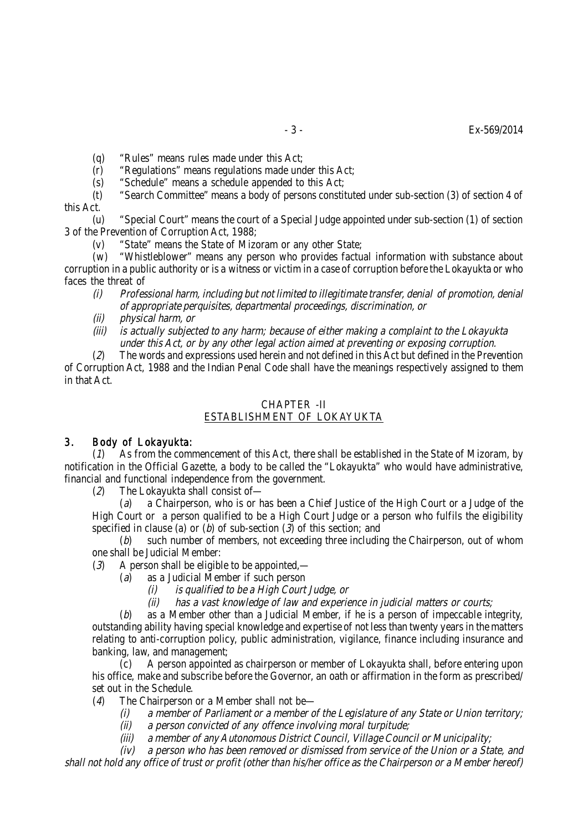(q) "Rules" means rules made under this Act;

 $(r)$  "Regulations" means regulations made under this Act;

(s) "Schedule" means a schedule appended to this Act;

(t) "Search Committee" means a body of persons constituted under sub-section (3) of section 4 of this Act.

(u) "Special Court" means the court of a Special Judge appointed under sub-section (1) of section 3 of the Prevention of Corruption Act, 1988;

(v) "State" means the State of Mizoram or any other State;

(w) "Whistleblower" means any person who provides factual information with substance about corruption in a public authority or is a witness or victim in a case of corruption before the Lokayukta or who faces the threat of

- (i) Professional harm, including but not limited to illegitimate transfer, denial of promotion, denial of appropriate perquisites, departmental proceedings, discrimination, or
- (ii) physical harm, or
- is actually subjected to any harm; because of either making a complaint to the Lokayukta under this Act, or by any other legal action aimed at preventing or exposing corruption.

(2) The words and expressions used herein and not defined in this Act but defined in the Prevention of Corruption Act, 1988 and the Indian Penal Code shall have the meanings respectively assigned to them in that Act.

# CHAPTER -II

# ESTABLISHMENT OF LOKAYUKTA

# 3. Body of Lokayukta:

(1) As from the commencement of this Act, there shall be established in the State of Mizoram, by notification in the Official Gazette, a body to be called the "Lokayukta" who would have administrative, financial and functional independence from the government.

(2) The Lokayukta shall consist of—

(a) a Chairperson, who is or has been a Chief Justice of the High Court or a Judge of the High Court or a person qualified to be a High Court Judge or a person who fulfils the eligibility specified in clause (a) or (b) of sub-section  $(3)$  of this section; and

(b) such number of members, not exceeding three including the Chairperson, out of whom one shall be Judicial Member:

 $(3)$  A person shall be eligible to be appointed,—

- (a) as a Judicial Member if such person
	-
	- (i) is qualified to be a High Court Judge, or<br>(ii) has a vast knowledge of law and experie has a vast knowledge of law and experience in judicial matters or courts;

(b) as a Member other than a Judicial Member, if he is a person of impeccable integrity, outstanding ability having special knowledge and expertise of not less than twenty years in the matters relating to anti-corruption policy, public administration, vigilance, finance including insurance and banking, law, and management;

(c) A person appointed as chairperson or member of Lokayukta shall, before entering upon his office, make and subscribe before the Governor, an oath or affirmation in the form as prescribed/ set out in the Schedule.

- (4) The Chairperson or a Member shall not be—
	- (i) a member of Parliament or a member of the Legislature of any State or Union territory;
	- (ii) a person convicted of any offence involving moral turpitude;
	- (iii) a member of any Autonomous District Council, Village Council or Municipality;

(iv) a person who has been removed or dismissed from service of the Union or a State, and shall not hold any office of trust or profit (other than his/her office as the Chairperson or a Member hereof)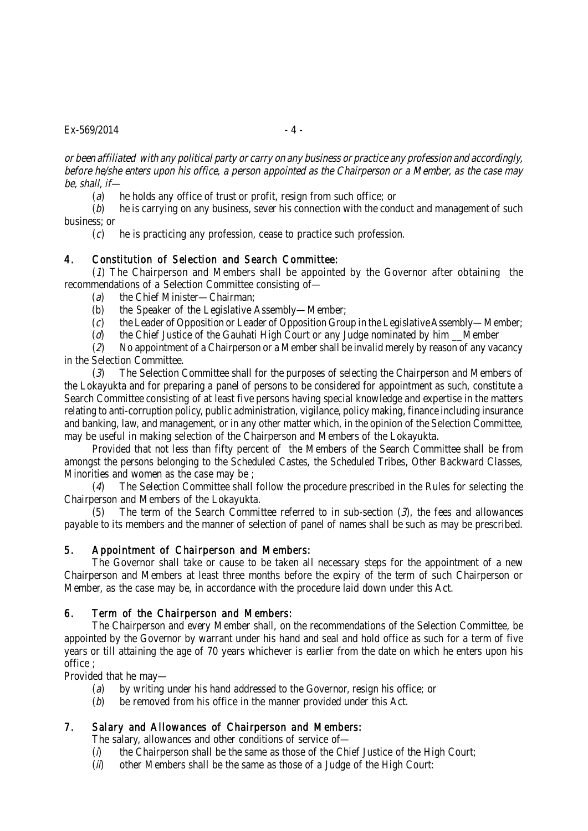$Ex - 569/2014$  - 4 -

or been affiliated with any political party or carry on any business or practice any profession and accordingly, before he/she enters upon his office, a person appointed as the Chairperson or a Member, as the case may be, shall, if—

(a) he holds any office of trust or profit, resign from such office; or

 $(b)$  he is carrying on any business, sever his connection with the conduct and management of such business; or

(c) he is practicing any profession, cease to practice such profession.

# 4. Constitution of Selection and Search Committee:

(1) The Chairperson and Members shall be appointed by the Governor after obtaining the recommendations of a Selection Committee consisting of—

(a) the Chief Minister—Chairman;

- (b) the Speaker of the Legislative Assembly—Member;
- $(c)$  the Leader of Opposition or Leader of Opposition Group in the Legislative Assembly—Member;

 $(d)$  the Chief Justice of the Gauhati High Court or any Judge nominated by him Member

(2) No appointment of a Chairperson or a Member shall be invalid merely by reason of any vacancy in the Selection Committee.

(3) The Selection Committee shall for the purposes of selecting the Chairperson and Members of the Lokayukta and for preparing a panel of persons to be considered for appointment as such, constitute a Search Committee consisting of at least five persons having special knowledge and expertise in the matters relating to anti-corruption policy, public administration, vigilance, policy making, finance including insurance and banking, law, and management, or in any other matter which, in the opinion of the Selection Committee, may be useful in making selection of the Chairperson and Members of the Lokayukta.

Provided that not less than fifty percent of the Members of the Search Committee shall be from amongst the persons belonging to the Scheduled Castes, the Scheduled Tribes, Other Backward Classes, Minorities and women as the case may be ;

(4) The Selection Committee shall follow the procedure prescribed in the Rules for selecting the Chairperson and Members of the Lokayukta.

The term of the Search Committee referred to in sub-section  $(3)$ , the fees and allowances payable to its members and the manner of selection of panel of names shall be such as may be prescribed.

# 5. Appointment of Chairperson and Members:

The Governor shall take or cause to be taken all necessary steps for the appointment of a new Chairperson and Members at least three months before the expiry of the term of such Chairperson or Member, as the case may be, in accordance with the procedure laid down under this Act.

# 6. Term of the Chairperson and Members:

The Chairperson and every Member shall, on the recommendations of the Selection Committee, be appointed by the Governor by warrant under his hand and seal and hold office as such for a term of five years or till attaining the age of 70 years whichever is earlier from the date on which he enters upon his office ;

Provided that he may—

- (a) by writing under his hand addressed to the Governor, resign his office; or
- (b) be removed from his office in the manner provided under this Act.

# 7. Salary and Allowances of Chairperson and Members:

The salary, allowances and other conditions of service of—

- $(i)$  the Chairperson shall be the same as those of the Chief Justice of the High Court;
- (ii) other Members shall be the same as those of a Judge of the High Court: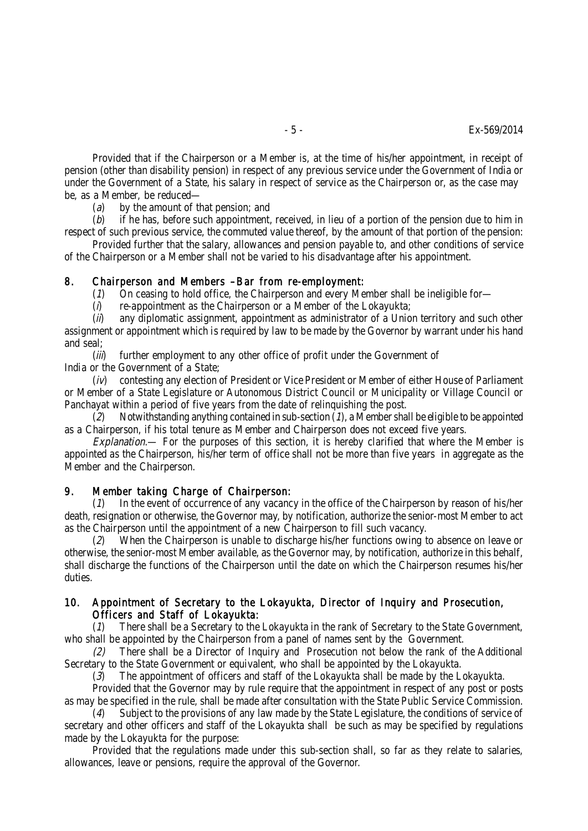Provided that if the Chairperson or a Member is, at the time of his/her appointment, in receipt of pension (other than disability pension) in respect of any previous service under the Government of India or under the Government of a State, his salary in respect of service as the Chairperson or, as the case may be, as a Member, be reduced—

(a) by the amount of that pension; and

 $(b)$  if he has, before such appointment, received, in lieu of a portion of the pension due to him in respect of such previous service, the commuted value thereof, by the amount of that portion of the pension:

Provided further that the salary, allowances and pension payable to, and other conditions of service of the Chairperson or a Member shall not be varied to his disadvantage after his appointment.

#### 8. Chairperson and Members –Bar from re-employment:

(1) On ceasing to hold office, the Chairperson and every Member shall be ineligible for—

 $(i)$  re-appointment as the Chairperson or a Member of the Lokayukta;

 $(i)$  any diplomatic assignment, appointment as administrator of a Union territory and such other assignment or appointment which is required by law to be made by the Governor by warrant under his hand and seal;

(*iii*) further employment to any other office of profit under the Government of India or the Government of a State;

(iv) contesting any election of President or Vice President or Member of either House of Parliament or Member of a State Legislature or Autonomous District Council or Municipality or Village Council or Panchayat within a period of five years from the date of relinquishing the post.

 $(2)$  Notwithstanding anything contained in sub-section (1), a Member shall be eligible to be appointed as a Chairperson, if his total tenure as Member and Chairperson does not exceed five years.

Explanation.— For the purposes of this section, it is hereby clarified that where the Member is appointed as the Chairperson, his/her term of office shall not be more than five years in aggregate as the Member and the Chairperson.

#### 9. Member taking Charge of Chairperson:

(1) In the event of occurrence of any vacancy in the office of the Chairperson by reason of his/her death, resignation or otherwise, the Governor may, by notification, authorize the senior-most Member to act as the Chairperson until the appointment of a new Chairperson to fill such vacancy.

(2) When the Chairperson is unable to discharge his/her functions owing to absence on leave or otherwise, the senior-most Member available, as the Governor may, by notification, authorize in this behalf, shall discharge the functions of the Chairperson until the date on which the Chairperson resumes his/her duties.

## 10. Appointment of Secretary to the Lokayukta, Director of Inquiry and Prosecution, Officers and Staff of Lokayukta:

(1) There shall be a Secretary to the Lokayukta in the rank of Secretary to the State Government, who shall be appointed by the Chairperson from a panel of names sent by the Government.

(2) There shall be a Director of Inquiry and Prosecution not below the rank of the Additional Secretary to the State Government or equivalent, who shall be appointed by the Lokayukta.

 $(3)$  The appointment of officers and staff of the Lokayukta shall be made by the Lokayukta.

Provided that the Governor may by rule require that the appointment in respect of any post or posts as may be specified in the rule, shall be made after consultation with the State Public Service Commission.

 $(4)$  Subject to the provisions of any law made by the State Legislature, the conditions of service of secretary and other officers and staff of the Lokayukta shall be such as may be specified by regulations made by the Lokayukta for the purpose:

Provided that the regulations made under this sub-section shall, so far as they relate to salaries, allowances, leave or pensions, require the approval of the Governor.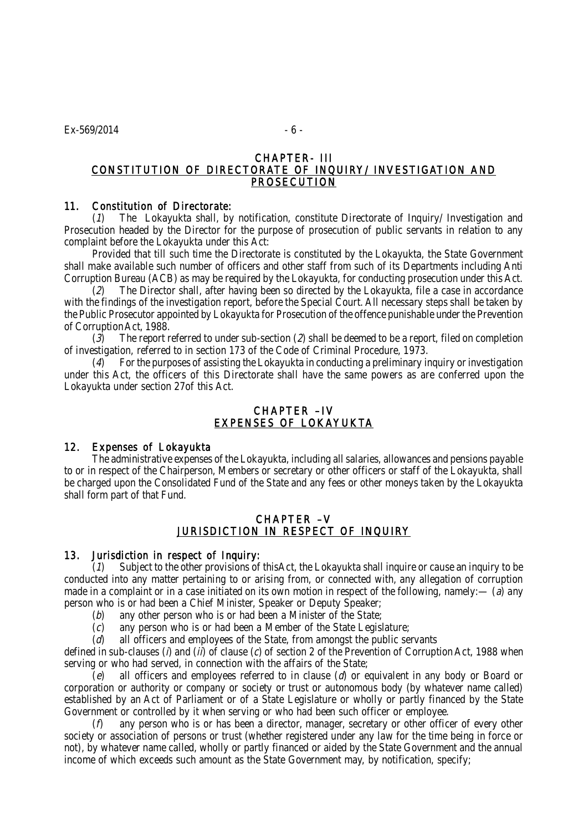#### CHAPTER- III CONSTITUTION OF DIRECTORATE OF INQUIRY/ INVESTIGATION AND PROSECUTION

#### 11. Constitution of Directorate:

(1) The Lokayukta shall, by notification, constitute Directorate of Inquiry/ Investigation and Prosecution headed by the Director for the purpose of prosecution of public servants in relation to any complaint before the Lokayukta under this Act:

Provided that till such time the Directorate is constituted by the Lokayukta, the State Government shall make available such number of officers and other staff from such of its Departments including Anti Corruption Bureau (ACB) as may be required by the Lokayukta, for conducting prosecution under this Act.

(2) The Director shall, after having been so directed by the Lokayukta, file a case in accordance with the findings of the investigation report, before the Special Court. All necessary steps shall be taken by the Public Prosecutor appointed by Lokayukta for Prosecution of the offence punishable under the Prevention of Corruption Act, 1988.

 $(3)$  The report referred to under sub-section (2) shall be deemed to be a report, filed on completion of investigation, referred to in section 173 of the Code of Criminal Procedure, 1973.

(4) For the purposes of assisting the Lokayukta in conducting a preliminary inquiry or investigation under this Act, the officers of this Directorate shall have the same powers as are conferred upon the Lokayukta under section 27of this Act.

# CHAPTER –IV EXPENSES OF LOKAYUKTA

#### 12. Expenses of Lokayukta

The administrative expenses of the Lokayukta, including all salaries, allowances and pensions payable to or in respect of the Chairperson, Members or secretary or other officers or staff of the Lokayukta, shall be charged upon the Consolidated Fund of the State and any fees or other moneys taken by the Lokayukta shall form part of that Fund.

# CHAPTER –V JURISDICTION IN RESPECT OF INQUIRY

# 13. Jurisdiction in respect of Inquiry:

Subject to the other provisions of thisAct, the Lokayukta shall inquire or cause an inquiry to be conducted into any matter pertaining to or arising from, or connected with, any allegation of corruption made in a complaint or in a case initiated on its own motion in respect of the following, namely:  $-$  (a) any person who is or had been a Chief Minister, Speaker or Deputy Speaker;

- (b) any other person who is or had been a Minister of the State;
- (c) any person who is or had been a Member of the State Legislature;
- (d) all officers and employees of the State, from amongst the public servants

defined in sub-clauses ( $\hat{\theta}$ ) and ( $\hat{\theta}$ ) of clause (c) of section 2 of the Prevention of Corruption Act, 1988 when serving or who had served, in connection with the affairs of the State;

(e) all officers and employees referred to in clause ( $d$ ) or equivalent in any body or Board or corporation or authority or company or society or trust or autonomous body (by whatever name called) established by an Act of Parliament or of a State Legislature or wholly or partly financed by the State Government or controlled by it when serving or who had been such officer or employee.

(f) any person who is or has been a director, manager, secretary or other officer of every other society or association of persons or trust (whether registered under any law for the time being in force or not), by whatever name called, wholly or partly financed or aided by the State Government and the annual income of which exceeds such amount as the State Government may, by notification, specify;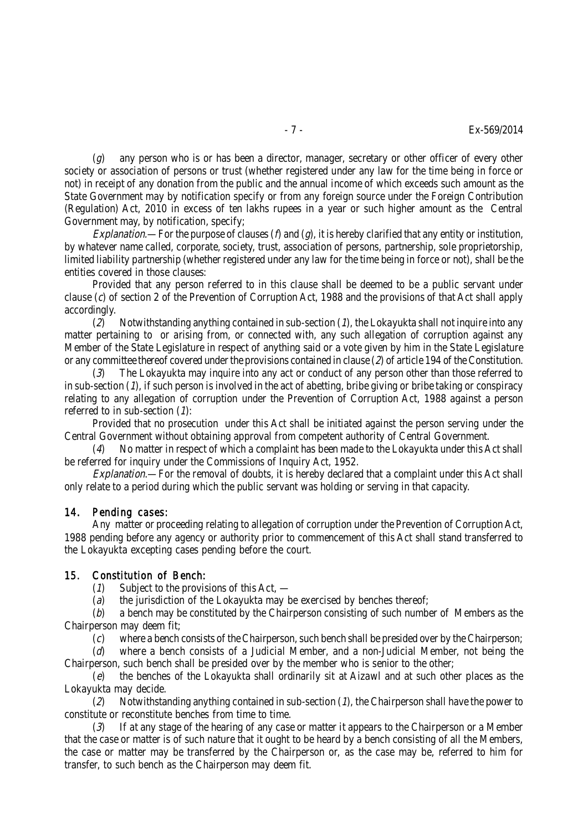$(q)$  any person who is or has been a director, manager, secretary or other officer of every other society or association of persons or trust (whether registered under any law for the time being in force or not) in receipt of any donation from the public and the annual income of which exceeds such amount as the State Government may by notification specify or from any foreign source under the Foreign Contribution (Regulation) Act, 2010 in excess of ten lakhs rupees in a year or such higher amount as the Central Government may, by notification, specify;

Explanation.—For the purpose of clauses ( $\hat{p}$  and ( $\hat{q}$ ), it is hereby clarified that any entity or institution, by whatever name called, corporate, society, trust, association of persons, partnership, sole proprietorship, limited liability partnership (whether registered under any law for the time being in force or not), shall be the entities covered in those clauses:

Provided that any person referred to in this clause shall be deemed to be a public servant under clause (c) of section 2 of the Prevention of Corruption Act, 1988 and the provisions of that Act shall apply accordingly.

(2) Notwithstanding anything contained in sub-section  $(1)$ , the Lokayukta shall not inquire into any matter pertaining to or arising from, or connected with, any such allegation of corruption against any Member of the State Legislature in respect of anything said or a vote given by him in the State Legislature or any committee thereof covered under the provisions contained in clause  $(2)$  of article 194 of the Constitution.

(3) The Lokayukta may inquire into any act or conduct of any person other than those referred to in sub-section  $(1)$ , if such person is involved in the act of abetting, bribe giving or bribe taking or conspiracy relating to any allegation of corruption under the Prevention of Corruption Act, 1988 against a person referred to in sub-section  $(1)$ :

Provided that no prosecution under this Act shall be initiated against the person serving under the Central Government without obtaining approval from competent authority of Central Government.

(4) No matter in respect of which a complaint has been made to the Lokayukta under this Act shall be referred for inquiry under the Commissions of Inquiry Act, 1952.

Explanation.—For the removal of doubts, it is hereby declared that a complaint under this Act shall only relate to a period during which the public servant was holding or serving in that capacity.

#### 14. Pending cases:

Any matter or proceeding relating to allegation of corruption under the Prevention of Corruption Act, 1988 pending before any agency or authority prior to commencement of this Act shall stand transferred to the Lokayukta excepting cases pending before the court.

#### 15. Constitution of Bench:

 $(1)$  Subject to the provisions of this Act, —

(a) the jurisdiction of the Lokayukta may be exercised by benches thereof;

 $(b)$  a bench may be constituted by the Chairperson consisting of such number of Members as the Chairperson may deem fit;

(c) where a bench consists of the Chairperson, such bench shall be presided over by the Chairperson;

(d) where a bench consists of a Judicial Member, and a non-Judicial Member, not being the Chairperson, such bench shall be presided over by the member who is senior to the other;

(e) the benches of the Lokayukta shall ordinarily sit at Aizawl and at such other places as the Lokayukta may decide.

(2) Notwithstanding anything contained in sub-section  $(1)$ , the Chairperson shall have the power to constitute or reconstitute benches from time to time.

(3) If at any stage of the hearing of any case or matter it appears to the Chairperson or a Member that the case or matter is of such nature that it ought to be heard by a bench consisting of all the Members, the case or matter may be transferred by the Chairperson or, as the case may be, referred to him for transfer, to such bench as the Chairperson may deem fit.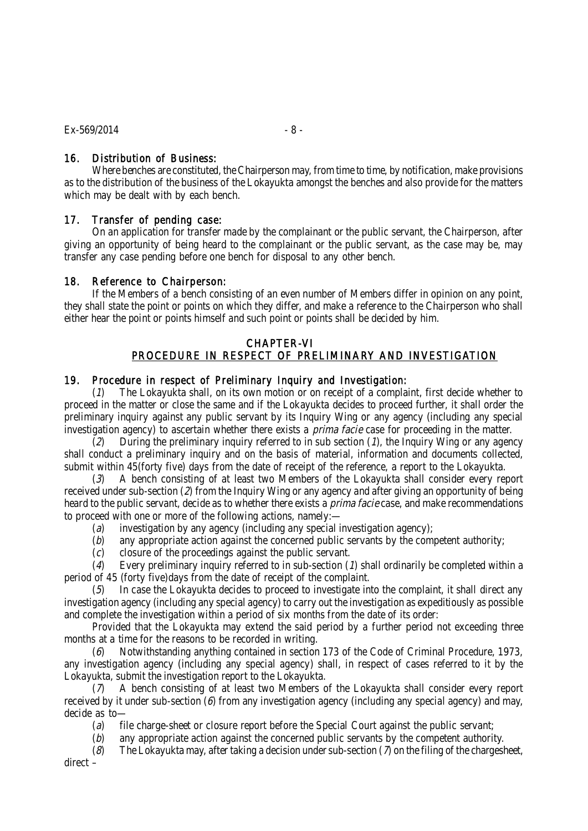# 16. Distribution of Business:

Where benches are constituted, the Chairperson may, from time to time, by notification, make provisions as to the distribution of the business of the Lokayukta amongst the benches and also provide for the matters which may be dealt with by each bench.

## 17. Transfer of pending case:

On an application for transfer made by the complainant or the public servant, the Chairperson, after giving an opportunity of being heard to the complainant or the public servant, as the case may be, may transfer any case pending before one bench for disposal to any other bench.

## 18. Reference to Chairperson:

If the Members of a bench consisting of an even number of Members differ in opinion on any point, they shall state the point or points on which they differ, and make a reference to the Chairperson who shall either hear the point or points himself and such point or points shall be decided by him.

#### CHAPTER-VI PROCEDURE IN RESPECT OF PRELIMINARY AND INVESTIGATION

## 19. Procedure in respect of Preliminary Inquiry and Investigation:

(1) The Lokayukta shall, on its own motion or on receipt of a complaint, first decide whether to proceed in the matter or close the same and if the Lokayukta decides to proceed further, it shall order the preliminary inquiry against any public servant by its Inquiry Wing or any agency (including any special investigation agency) to ascertain whether there exists a *prima facie* case for proceeding in the matter.

 $(2)$  During the preliminary inquiry referred to in sub section (1), the Inquiry Wing or any agency shall conduct a preliminary inquiry and on the basis of material, information and documents collected, submit within 45(forty five) days from the date of receipt of the reference, a report to the Lokayukta.

(3) A bench consisting of at least two Members of the Lokayukta shall consider every report received under sub-section (2) from the Inquiry Wing or any agency and after giving an opportunity of being heard to the public servant, decide as to whether there exists a *prima facie* case, and make recommendations to proceed with one or more of the following actions, namely:—

- (a) investigation by any agency (including any special investigation agency);
- (b) any appropriate action against the concerned public servants by the competent authority;
- (c) closure of the proceedings against the public servant.

(4) Every preliminary inquiry referred to in sub-section (1) shall ordinarily be completed within a period of 45 (forty five)days from the date of receipt of the complaint.

In case the Lokayukta decides to proceed to investigate into the complaint, it shall direct any investigation agency (including any special agency) to carry out the investigation as expeditiously as possible and complete the investigation within a period of six months from the date of its order:

Provided that the Lokayukta may extend the said period by a further period not exceeding three months at a time for the reasons to be recorded in writing.

(6) Notwithstanding anything contained in section 173 of the Code of Criminal Procedure, 1973, any investigation agency (including any special agency) shall, in respect of cases referred to it by the Lokayukta, submit the investigation report to the Lokayukta.

(7) A bench consisting of at least two Members of the Lokayukta shall consider every report received by it under sub-section (6) from any investigation agency (including any special agency) and may, decide as to—

- (a) file charge-sheet or closure report before the Special Court against the public servant;
- (b) any appropriate action against the concerned public servants by the competent authority.
- (8) The Lokayukta may, after taking a decision under sub-section ( $\lambda$  on the filing of the chargesheet,

direct –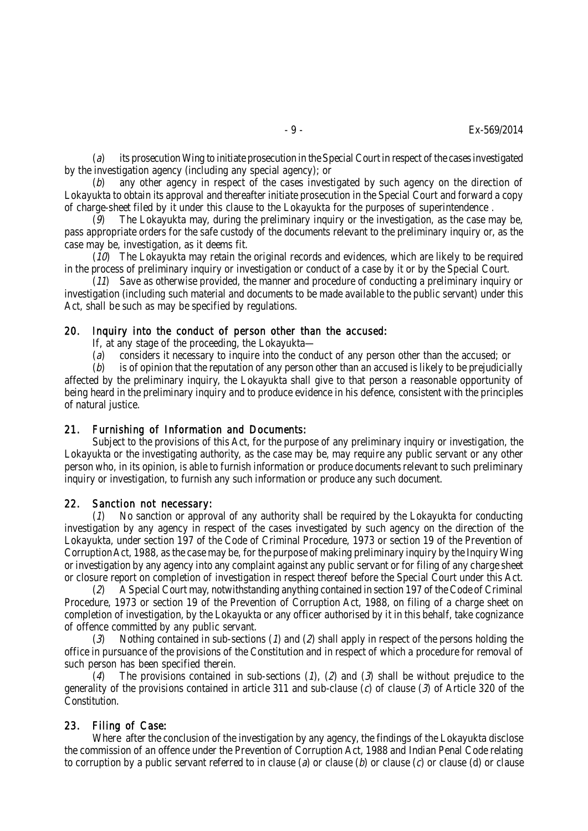(a) its prosecution Wing to initiate prosecution in the Special Court in respect of the cases investigated by the investigation agency (including any special agency); or

(b) any other agency in respect of the cases investigated by such agency on the direction of Lokayukta to obtain its approval and thereafter initiate prosecution in the Special Court and forward a copy of charge-sheet filed by it under this clause to the Lokayukta for the purposes of superintendence .

(9) The Lokayukta may, during the preliminary inquiry or the investigation, as the case may be, pass appropriate orders for the safe custody of the documents relevant to the preliminary inquiry or, as the case may be, investigation, as it deems fit.

 $(10)$  The Lokayukta may retain the original records and evidences, which are likely to be required in the process of preliminary inquiry or investigation or conduct of a case by it or by the Special Court.

 $(11)$  Save as otherwise provided, the manner and procedure of conducting a preliminary inquiry or investigation (including such material and documents to be made available to the public servant) under this Act, shall be such as may be specified by regulations.

#### 20. Inquiry into the conduct of person other than the accused:

If, at any stage of the proceeding, the Lokayukta—

(a) considers it necessary to inquire into the conduct of any person other than the accused; or

 $(b)$  is of opinion that the reputation of any person other than an accused is likely to be prejudicially affected by the preliminary inquiry, the Lokayukta shall give to that person a reasonable opportunity of being heard in the preliminary inquiry and to produce evidence in his defence, consistent with the principles of natural justice.

#### 21. Furnishing of Information and Documents:

Subject to the provisions of this Act, for the purpose of any preliminary inquiry or investigation, the Lokayukta or the investigating authority, as the case may be, may require any public servant or any other person who, in its opinion, is able to furnish information or produce documents relevant to such preliminary inquiry or investigation, to furnish any such information or produce any such document.

#### 22. Sanction not necessary:

 $(1)$  No sanction or approval of any authority shall be required by the Lokayukta for conducting investigation by any agency in respect of the cases investigated by such agency on the direction of the Lokayukta, under section 197 of the Code of Criminal Procedure, 1973 or section 19 of the Prevention of Corruption Act, 1988, as the case may be, for the purpose of making preliminary inquiry by the Inquiry Wing or investigation by any agency into any complaint against any public servant or for filing of any charge sheet or closure report on completion of investigation in respect thereof before the Special Court under this Act.

(2) A Special Court may, notwithstanding anything contained in section 197 of the Code of Criminal Procedure, 1973 or section 19 of the Prevention of Corruption Act, 1988, on filing of a charge sheet on completion of investigation, by the Lokayukta or any officer authorised by it in this behalf, take cognizance of offence committed by any public servant.

(3) Nothing contained in sub-sections (1) and (2) shall apply in respect of the persons holding the office in pursuance of the provisions of the Constitution and in respect of which a procedure for removal of such person has been specified therein.

(4) The provisions contained in sub-sections (1), (2) and (3) shall be without prejudice to the generality of the provisions contained in article 311 and sub-clause (c) of clause (3) of Article 320 of the Constitution.

# 23. Filing of Case:

Where after the conclusion of the investigation by any agency, the findings of the Lokayukta disclose the commission of an offence under the Prevention of Corruption Act, 1988 and Indian Penal Code relating to corruption by a public servant referred to in clause (a) or clause (b) or clause (c) or clause (d) or clause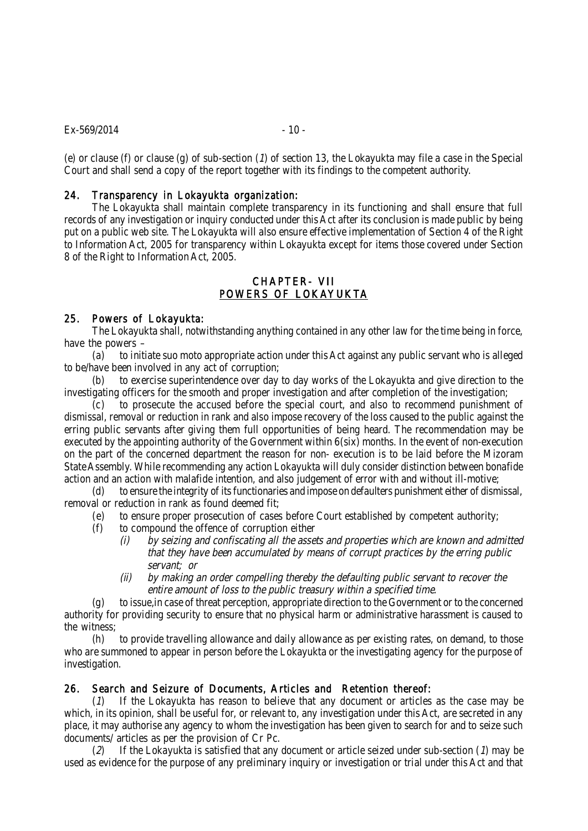#### $Ex - 569/2014$  - 10 -

(e) or clause (f) or clause (g) of sub-section ( $1$ ) of section 13, the Lokayukta may file a case in the Special Court and shall send a copy of the report together with its findings to the competent authority.

#### 24. Transparency in Lokayukta organization:

The Lokayukta shall maintain complete transparency in its functioning and shall ensure that full records of any investigation or inquiry conducted under this Act after its conclusion is made public by being put on a public web site. The Lokayukta will also ensure effective implementation of Section 4 of the Right to Information Act, 2005 for transparency within Lokayukta except for items those covered under Section 8 of the Right to Information Act, 2005.

# CHAPTER- VII POWERS OF LOKAYUKTA

#### 25. Powers of Lokayukta:

The Lokayukta shall, notwithstanding anything contained in any other law for the time being in force, have the powers –

(a) to initiate suo moto appropriate action under this Act against any public servant who is alleged to be/have been involved in any act of corruption;

(b) to exercise superintendence over day to day works of the Lokayukta and give direction to the investigating officers for the smooth and proper investigation and after completion of the investigation;

(c) to prosecute the accused before the special court, and also to recommend punishment of dismissal, removal or reduction in rank and also impose recovery of the loss caused to the public against the erring public servants after giving them full opportunities of being heard. The recommendation may be executed by the appointing authority of the Government within 6(six) months. In the event of non-execution on the part of the concerned department the reason for non- execution is to be laid before the Mizoram State Assembly. While recommending any action Lokayukta will duly consider distinction between bonafide action and an action with malafide intention, and also judgement of error with and without ill-motive;

(d) to ensure the integrity of its functionaries and impose on defaulters punishment either of dismissal, removal or reduction in rank as found deemed fit;

- (e) to ensure proper prosecution of cases before Court established by competent authority;
- (f) to compound the offence of corruption either
	- (i) by seizing and confiscating all the assets and properties which are known and admitted that they have been accumulated by means of corrupt practices by the erring public servant; or
	- (ii) by making an order compelling thereby the defaulting public servant to recover the entire amount of loss to the public treasury within a specified time.

(g) to issue,in case of threat perception, appropriate direction to the Government or to the concerned authority for providing security to ensure that no physical harm or administrative harassment is caused to the witness;

(h) to provide travelling allowance and daily allowance as per existing rates, on demand, to those who are summoned to appear in person before the Lokayukta or the investigating agency for the purpose of investigation.

#### 26. Search and Seizure of Documents, Articles and Retention thereof:

(1) If the Lokayukta has reason to believe that any document or articles as the case may be which, in its opinion, shall be useful for, or relevant to, any investigation under this Act, are secreted in any place, it may authorise any agency to whom the investigation has been given to search for and to seize such documents/ articles as per the provision of Cr Pc.

(2) If the Lokayukta is satisfied that any document or article seized under sub-section (1) may be used as evidence for the purpose of any preliminary inquiry or investigation or trial under this Act and that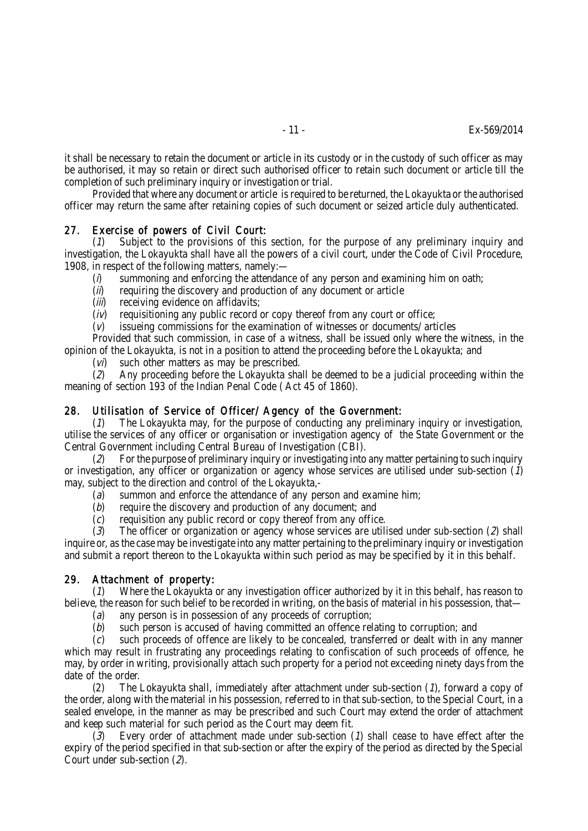it shall be necessary to retain the document or article in its custody or in the custody of such officer as may be authorised, it may so retain or direct such authorised officer to retain such document or article till the completion of such preliminary inquiry or investigation or trial.

Provided that where any document or article is required to be returned, the Lokayukta or the authorised officer may return the same after retaining copies of such document or seized article duly authenticated.

#### 27. Exercise of powers of Civil Court:

(1) Subject to the provisions of this section, for the purpose of any preliminary inquiry and investigation, the Lokayukta shall have all the powers of a civil court, under the Code of Civil Procedure, 1908, in respect of the following matters, namely:—

- $(i)$  summoning and enforcing the attendance of any person and examining him on oath;
- $(i)$  requiring the discovery and production of any document or article
- (*iii*) receiving evidence on affidavits;
- $(i)$  requisitioning any public record or copy thereof from any court or office;
- $(v)$  issueing commissions for the examination of witnesses or documents/ articles

Provided that such commission, in case of a witness, shall be issued only where the witness, in the opinion of the Lokayukta, is not in a position to attend the proceeding before the Lokayukta; and

 $(vi)$  such other matters as may be prescribed.

 $(2)$  Any proceeding before the Lokayukta shall be deemed to be a judicial proceeding within the meaning of section 193 of the Indian Penal Code ( Act 45 of 1860).

# 28. Utilisation of Service of Officer/ Agency of the Government:

The Lokayukta may, for the purpose of conducting any preliminary inquiry or investigation, utilise the services of any officer or organisation or investigation agency of the State Government or the Central Government including Central Bureau of Investigation (CBI).

(2) For the purpose of preliminary inquiry or investigating into any matter pertaining to such inquiry or investigation, any officer or organization or agency whose services are utilised under sub-section (1) may, subject to the direction and control of the Lokayukta,-

- (a) summon and enforce the attendance of any person and examine him;
- (b) require the discovery and production of any document; and
- (c) requisition any public record or copy thereof from any office.

 $(3)$  The officer or organization or agency whose services are utilised under sub-section  $(2)$  shall inquire or, as the case may be investigate into any matter pertaining to the preliminary inquiry or investigation and submit a report thereon to the Lokayukta within such period as may be specified by it in this behalf.

# 29. Attachment of property:

(1) Where the Lokayukta or any investigation officer authorized by it in this behalf, has reason to believe, the reason for such belief to be recorded in writing, on the basis of material in his possession, that—

- (a) any person is in possession of any proceeds of corruption;
- (b) such person is accused of having committed an offence relating to corruption; and

(c) such proceeds of offence are likely to be concealed, transferred or dealt with in any manner which may result in frustrating any proceedings relating to confiscation of such proceeds of offence, he may, by order in writing, provisionally attach such property for a period not exceeding ninety days from the date of the order.

(2) The Lokayukta shall, immediately after attachment under sub-section  $(1)$ , forward a copy of the order, along with the material in his possession, referred to in that sub-section, to the Special Court, in a sealed envelope, in the manner as may be prescribed and such Court may extend the order of attachment and keep such material for such period as the Court may deem fit.

(3) Every order of attachment made under sub-section (1) shall cease to have effect after the expiry of the period specified in that sub-section or after the expiry of the period as directed by the Special Court under sub-section (2).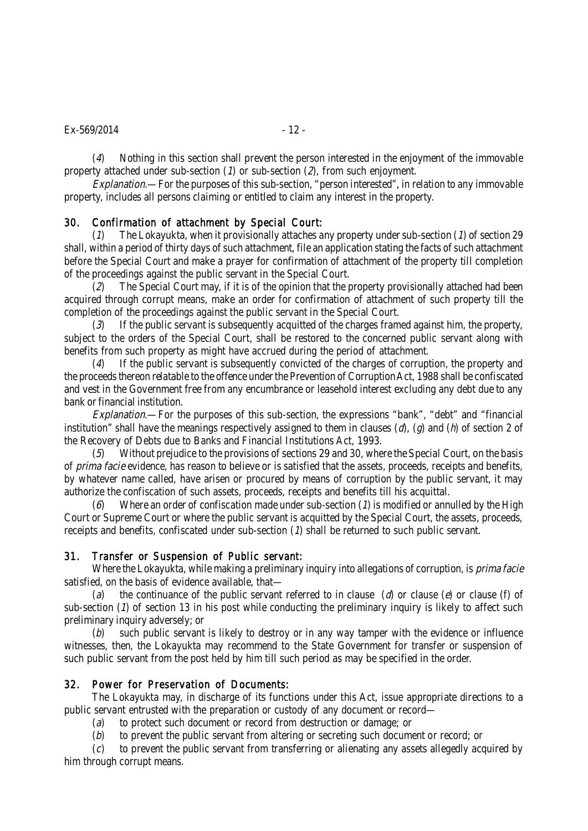#### $Ex - 569/2014$  - 12 -

(4) Nothing in this section shall prevent the person interested in the enjoyment of the immovable property attached under sub-section  $(1)$  or sub-section  $(2)$ , from such enjoyment.

Explanation.—For the purposes of this sub-section, "person interested", in relation to any immovable property, includes all persons claiming or entitled to claim any interest in the property.

# 30. Confirmation of attachment by Special Court:

(1) The Lokayukta, when it provisionally attaches any property under sub-section (1) of section 29 shall, within a period of thirty days of such attachment, file an application stating the facts of such attachment before the Special Court and make a prayer for confirmation of attachment of the property till completion of the proceedings against the public servant in the Special Court.

 $(2)$  The Special Court may, if it is of the opinion that the property provisionally attached had been acquired through corrupt means, make an order for confirmation of attachment of such property till the completion of the proceedings against the public servant in the Special Court.

(3) If the public servant is subsequently acquitted of the charges framed against him, the property, subject to the orders of the Special Court, shall be restored to the concerned public servant along with benefits from such property as might have accrued during the period of attachment.

(4) If the public servant is subsequently convicted of the charges of corruption, the property and the proceeds thereon relatable to the offence under the Prevention of Corruption Act, 1988 shall be confiscated and vest in the Government free from any encumbrance or leasehold interest excluding any debt due to any bank or financial institution.

Explanation.—For the purposes of this sub-section, the expressions "bank", "debt" and "financial institution" shall have the meanings respectively assigned to them in clauses ( $d$ ), ( $d$ ) and ( $h$ ) of section 2 of the Recovery of Debts due to Banks and Financial Institutions Act, 1993.

(5) Without prejudice to the provisions of sections 29 and 30, where the Special Court, on the basis of *prima facie* evidence, has reason to believe or is satisfied that the assets, proceeds, receipts and benefits, by whatever name called, have arisen or procured by means of corruption by the public servant, it may authorize the confiscation of such assets, proceeds, receipts and benefits till his acquittal.

(6) Where an order of confiscation made under sub-section ( $\eta$ ) is modified or annulled by the High Court or Supreme Court or where the public servant is acquitted by the Special Court, the assets, proceeds, receipts and benefits, confiscated under sub-section (1) shall be returned to such public servant.

#### 31. Transfer or Suspension of Public servant:

Where the Lokayukta, while making a preliminary inquiry into allegations of corruption, is *prima facie* satisfied, on the basis of evidence available, that-

(a) the continuance of the public servant referred to in clause (d) or clause (e) or clause (f) of sub-section (1) of section 13 in his post while conducting the preliminary inquiry is likely to affect such preliminary inquiry adversely; or

 $(b)$  such public servant is likely to destroy or in any way tamper with the evidence or influence witnesses, then, the Lokayukta may recommend to the State Government for transfer or suspension of such public servant from the post held by him till such period as may be specified in the order.

#### 32. Power for Preservation of Documents:

The Lokayukta may, in discharge of its functions under this Act, issue appropriate directions to a public servant entrusted with the preparation or custody of any document or record—

(a) to protect such document or record from destruction or damage; or

(b) to prevent the public servant from altering or secreting such document or record; or

(c) to prevent the public servant from transferring or alienating any assets allegedly acquired by him through corrupt means.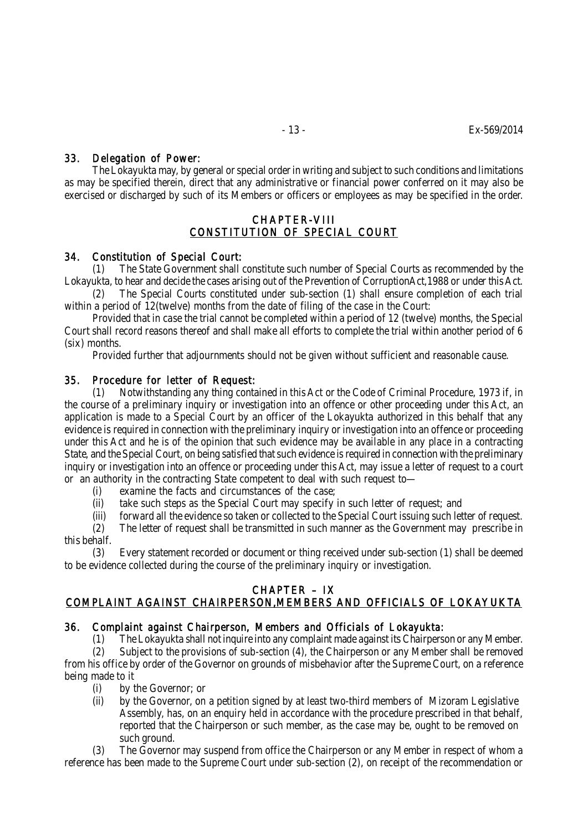# 33. Delegation of Power:

The Lokayukta may, by general or special order in writing and subject to such conditions and limitations as may be specified therein, direct that any administrative or financial power conferred on it may also be exercised or discharged by such of its Members or officers or employees as may be specified in the order.

## CHAPTER-VIII CONSTITUTION OF SPECIAL COURT

# 34. Constitution of Special Court:

(1) The State Government shall constitute such number of Special Courts as recommended by the Lokayukta, to hear and decide the cases arising out of the Prevention of CorruptionAct,1988 or under this Act.

(2) The Special Courts constituted under sub-section (1) shall ensure completion of each trial within a period of 12(twelve) months from the date of filing of the case in the Court:

Provided that in case the trial cannot be completed within a period of 12 (twelve) months, the Special Court shall record reasons thereof and shall make all efforts to complete the trial within another period of 6 (six) months.

Provided further that adjournments should not be given without sufficient and reasonable cause.

# 35. Procedure for letter of Request:

(1) Notwithstanding any thing contained in this Act or the Code of Criminal Procedure, 1973 if, in the course of a preliminary inquiry or investigation into an offence or other proceeding under this Act, an application is made to a Special Court by an officer of the Lokayukta authorized in this behalf that any evidence is required in connection with the preliminary inquiry or investigation into an offence or proceeding under this Act and he is of the opinion that such evidence may be available in any place in a contracting State, and the Special Court, on being satisfied that such evidence is required in connection with the preliminary inquiry or investigation into an offence or proceeding under this Act, may issue a letter of request to a court or an authority in the contracting State competent to deal with such request to—

- (i) examine the facts and circumstances of the case;
- (ii) take such steps as the Special Court may specify in such letter of request; and
- (iii) forward all the evidence so taken or collected to the Special Court issuing such letter of request.

(2) The letter of request shall be transmitted in such manner as the Government may prescribe in this behalf.

(3) Every statement recorded or document or thing received under sub-section (1) shall be deemed to be evidence collected during the course of the preliminary inquiry or investigation.

# CHAPTER – IX

# COMPLAINT AGAINST CHAIRPERSON,MEMBERS AND OFFICIALS OF LOKAYUKTA

# 36. Complaint against Chairperson, Members and Officials of Lokayukta:

(1) The Lokayukta shall not inquire into any complaint made against its Chairperson or any Member.

(2) Subject to the provisions of sub-section (4), the Chairperson or any Member shall be removed from his office by order of the Governor on grounds of misbehavior after the Supreme Court, on a reference being made to it

- (i) by the Governor; or
- (ii) by the Governor, on a petition signed by at least two-third members of Mizoram Legislative Assembly, has, on an enquiry held in accordance with the procedure prescribed in that behalf, reported that the Chairperson or such member, as the case may be, ought to be removed on such ground.

The Governor may suspend from office the Chairperson or any Member in respect of whom a reference has been made to the Supreme Court under sub-section (2), on receipt of the recommendation or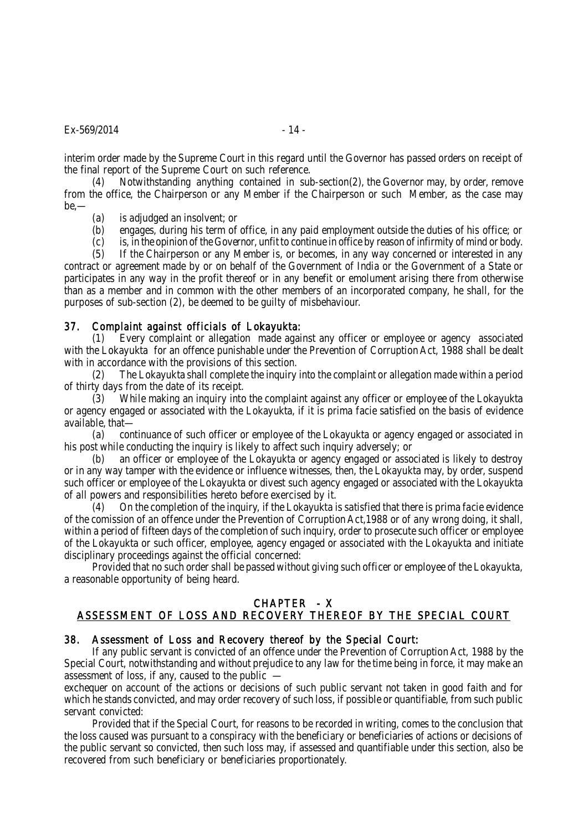#### $Ex - 569/2014$  - 14 -

interim order made by the Supreme Court in this regard until the Governor has passed orders on receipt of the final report of the Supreme Court on such reference.

(4) Notwithstanding anything contained in sub-section(2), the Governor may, by order, remove from the office, the Chairperson or any Member if the Chairperson or such Member, as the case may be,—

(a) is adjudged an insolvent; or

(b) engages, during his term of office, in any paid employment outside the duties of his office; or<br>(c) is, in the opinion of the Governor, unfit to continue in office by reason of infirmity of mind or body.

is, in the opinion of the Governor, unfit to continue in office by reason of infirmity of mind or body.

(5) If the Chairperson or any Member is, or becomes, in any way concerned or interested in any

contract or agreement made by or on behalf of the Government of India or the Government of a State or participates in any way in the profit thereof or in any benefit or emolument arising there from otherwise than as a member and in common with the other members of an incorporated company, he shall, for the purposes of sub-section (2), be deemed to be guilty of misbehaviour.

## 37. Complaint against officials of Lokayukta:

(1) Every complaint or allegation made against any officer or employee or agency associated with the Lokayukta for an offence punishable under the Prevention of Corruption Act, 1988 shall be dealt with in accordance with the provisions of this section.

(2) The Lokayukta shall complete the inquiry into the complaint or allegation made within a period of thirty days from the date of its receipt.

(3) While making an inquiry into the complaint against any officer or employee of the Lokayukta or agency engaged or associated with the Lokayukta, if it is prima facie satisfied on the basis of evidence available, that—

(a) continuance of such officer or employee of the Lokayukta or agency engaged or associated in his post while conducting the inquiry is likely to affect such inquiry adversely; or

(b) an officer or employee of the Lokayukta or agency engaged or associated is likely to destroy or in any way tamper with the evidence or influence witnesses, then, the Lokayukta may, by order, suspend such officer or employee of the Lokayukta or divest such agency engaged or associated with the Lokayukta of all powers and responsibilities hereto before exercised by it.

(4) On the completion of the inquiry, if the Lokayukta is satisfied that there is prima facie evidence of the comission of an offence under the Prevention of Corruption Act,1988 or of any wrong doing, it shall, within a period of fifteen days of the completion of such inquiry, order to prosecute such officer or employee of the Lokayukta or such officer, employee, agency engaged or associated with the Lokayukta and initiate disciplinary proceedings against the official concerned:

Provided that no such order shall be passed without giving such officer or employee of the Lokayukta, a reasonable opportunity of being heard.

# CHAPTER - X

# ASSESSMENT OF LOSS AND RECOVERY THEREOF BY THE SPECIAL COURT

#### 38. Assessment of Loss and Recovery thereof by the Special Court:

If any public servant is convicted of an offence under the Prevention of Corruption Act, 1988 by the Special Court, notwithstanding and without prejudice to any law for the time being in force, it may make an assessment of loss, if any, caused to the public —

exchequer on account of the actions or decisions of such public servant not taken in good faith and for which he stands convicted, and may order recovery of such loss, if possible or quantifiable, from such public servant convicted:

Provided that if the Special Court, for reasons to be recorded in writing, comes to the conclusion that the loss caused was pursuant to a conspiracy with the beneficiary or beneficiaries of actions or decisions of the public servant so convicted, then such loss may, if assessed and quantifiable under this section, also be recovered from such beneficiary or beneficiaries proportionately.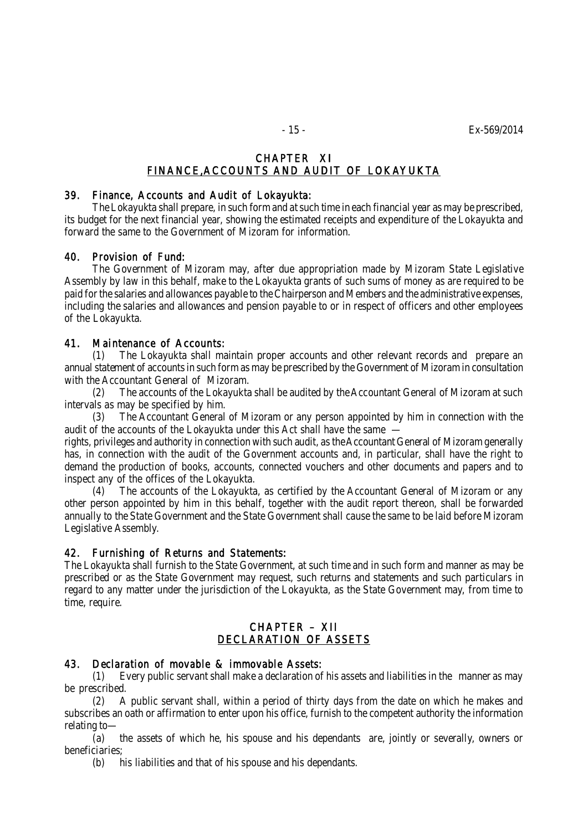# CHAPTER XI FINANCE,ACCOUNTS AND AUDIT OF LOKAYUKTA

#### 39. Finance, Accounts and Audit of Lokayukta:

The Lokayukta shall prepare, in such form and at such time in each financial year as may be prescribed, its budget for the next financial year, showing the estimated receipts and expenditure of the Lokayukta and forward the same to the Government of Mizoram for information.

# 40. Provision of Fund:

The Government of Mizoram may, after due appropriation made by Mizoram State Legislative Assembly by law in this behalf, make to the Lokayukta grants of such sums of money as are required to be paid for the salaries and allowances payable to the Chairperson and Members and the administrative expenses, including the salaries and allowances and pension payable to or in respect of officers and other employees of the Lokayukta.

## 41. Maintenance of Accounts:

(1) The Lokayukta shall maintain proper accounts and other relevant records and prepare an annual statement of accounts in such form as may be prescribed by the Government of Mizoram in consultation with the Accountant General of Mizoram.

(2) The accounts of the Lokayukta shall be audited by the Accountant General of Mizoram at such intervals as may be specified by him.

(3) The Accountant General of Mizoram or any person appointed by him in connection with the audit of the accounts of the Lokayukta under this Act shall have the same –

rights, privileges and authority in connection with such audit, as the Accountant General of Mizoram generally has, in connection with the audit of the Government accounts and, in particular, shall have the right to demand the production of books, accounts, connected vouchers and other documents and papers and to inspect any of the offices of the Lokayukta.

(4) The accounts of the Lokayukta, as certified by the Accountant General of Mizoram or any other person appointed by him in this behalf, together with the audit report thereon, shall be forwarded annually to the State Government and the State Government shall cause the same to be laid before Mizoram Legislative Assembly.

# 42. Furnishing of Returns and Statements:

The Lokayukta shall furnish to the State Government, at such time and in such form and manner as may be prescribed or as the State Government may request, such returns and statements and such particulars in regard to any matter under the jurisdiction of the Lokayukta, as the State Government may, from time to time, require.

# CHAPTER – XII DECLARATION OF ASSETS

# 43. Declaration of movable & immovable Assets:

(1) Every public servant shall make a declaration of his assets and liabilities in the manner as may be prescribed.

(2) A public servant shall, within a period of thirty days from the date on which he makes and subscribes an oath or affirmation to enter upon his office, furnish to the competent authority the information relating to—

(a) the assets of which he, his spouse and his dependants are, jointly or severally, owners or beneficiaries;

(b) his liabilities and that of his spouse and his dependants.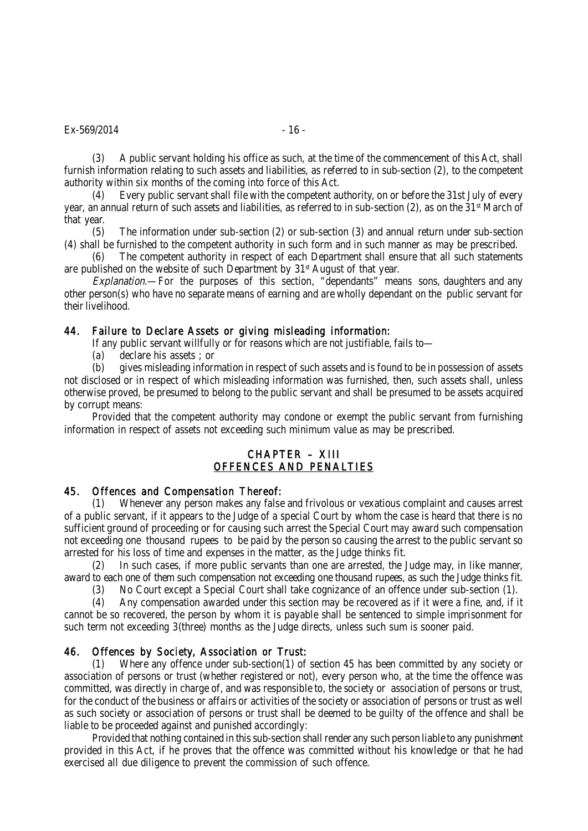#### $Ex - 569/2014$  - 16 -

(3) A public servant holding his office as such, at the time of the commencement of this Act, shall furnish information relating to such assets and liabilities, as referred to in sub-section (2), to the competent authority within six months of the coming into force of this Act.

(4) Every public servant shall file with the competent authority, on or before the 31st July of every year, an annual return of such assets and liabilities, as referred to in sub-section (2), as on the 31<sup>st</sup> March of that year.

(5) The information under sub-section (2) or sub-section (3) and annual return under sub-section (4) shall be furnished to the competent authority in such form and in such manner as may be prescribed.

(6) The competent authority in respect of each Department shall ensure that all such statements are published on the website of such Department by 31<sup>st</sup> August of that year.

Explanation.—For the purposes of this section, "dependants" means sons, daughters and any other person(s) who have no separate means of earning and are wholly dependant on the public servant for their livelihood.

#### 44. Failure to Declare Assets or giving misleading information:

If any public servant willfully or for reasons which are not justifiable, fails to—

(a) declare his assets ; or

(b) gives misleading information in respect of such assets and is found to be in possession of assets not disclosed or in respect of which misleading information was furnished, then, such assets shall, unless otherwise proved, be presumed to belong to the public servant and shall be presumed to be assets acquired by corrupt means:

Provided that the competent authority may condone or exempt the public servant from furnishing information in respect of assets not exceeding such minimum value as may be prescribed.

# CHAPTER – XIII OFFENCES AND PENALTIES

#### 45. Offences and Compensation Thereof:

(1) Whenever any person makes any false and frivolous or vexatious complaint and causes arrest of a public servant, if it appears to the Judge of a special Court by whom the case is heard that there is no sufficient ground of proceeding or for causing such arrest the Special Court may award such compensation not exceeding one thousand rupees to be paid by the person so causing the arrest to the public servant so arrested for his loss of time and expenses in the matter, as the Judge thinks fit.

(2) In such cases, if more public servants than one are arrested, the Judge may, in like manner, award to each one of them such compensation not exceeding one thousand rupees, as such the Judge thinks fit.

(3) No Court except a Special Court shall take cognizance of an offence under sub-section (1).

(4) Any compensation awarded under this section may be recovered as if it were a fine, and, if it cannot be so recovered, the person by whom it is payable shall be sentenced to simple imprisonment for such term not exceeding 3(three) months as the Judge directs, unless such sum is sooner paid.

# 46. Offences by Society, Association or Trust:

(1) Where any offence under sub-section(1) of section 45 has been committed by any society or association of persons or trust (whether registered or not), every person who, at the time the offence was committed, was directly in charge of, and was responsible to, the society or association of persons or trust, for the conduct of the business or affairs or activities of the society or association of persons or trust as well as such society or association of persons or trust shall be deemed to be guilty of the offence and shall be liable to be proceeded against and punished accordingly:

Provided that nothing contained in this sub-section shall render any such person liable to any punishment provided in this Act, if he proves that the offence was committed without his knowledge or that he had exercised all due diligence to prevent the commission of such offence.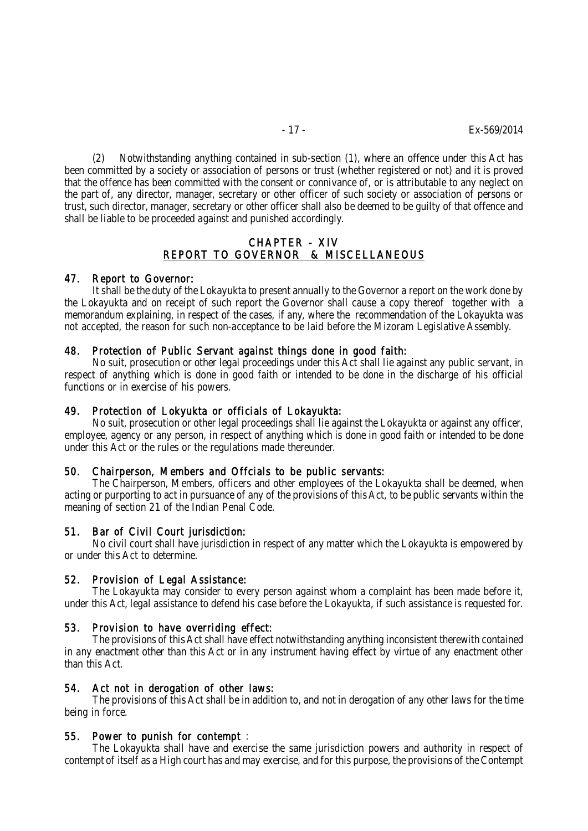(2) Notwithstanding anything contained in sub-section (1), where an offence under this Act has been committed by a society or association of persons or trust (whether registered or not) and it is proved that the offence has been committed with the consent or connivance of, or is attributable to any neglect on the part of, any director, manager, secretary or other officer of such society or association of persons or trust, such director, manager, secretary or other officer shall also be deemed to be guilty of that offence and shall be liable to be proceeded against and punished accordingly.

## CHAPTER - XIV REPORT TO GOVERNOR & MISCELLANEOUS

#### 47. Report to Governor:

It shall be the duty of the Lokayukta to present annually to the Governor a report on the work done by the Lokayukta and on receipt of such report the Governor shall cause a copy thereof together with a memorandum explaining, in respect of the cases, if any, where the recommendation of the Lokayukta was not accepted, the reason for such non-acceptance to be laid before the Mizoram Legislative Assembly.

#### 48. Protection of Public Servant against things done in good faith:

No suit, prosecution or other legal proceedings under this Act shall lie against any public servant, in respect of anything which is done in good faith or intended to be done in the discharge of his official functions or in exercise of his powers.

#### 49. Protection of Lokyukta or officials of Lokayukta:

No suit, prosecution or other legal proceedings shall lie against the Lokayukta or against any officer, employee, agency or any person, in respect of anything which is done in good faith or intended to be done under this Act or the rules or the regulations made thereunder.

#### 50. Chairperson, Members and Offcials to be public servants:

The Chairperson, Members, officers and other employees of the Lokayukta shall be deemed, when acting or purporting to act in pursuance of any of the provisions of this Act, to be public servants within the meaning of section 21 of the Indian Penal Code.

#### 51. Bar of Civil Court jurisdiction:

No civil court shall have jurisdiction in respect of any matter which the Lokayukta is empowered by or under this Act to determine.

#### 52. Provision of Legal Assistance:

The Lokayukta may consider to every person against whom a complaint has been made before it, under this Act, legal assistance to defend his case before the Lokayukta, if such assistance is requested for.

#### 53. Provision to have overriding effect:

The provisions of this Act shall have effect notwithstanding anything inconsistent therewith contained in any enactment other than this Act or in any instrument having effect by virtue of any enactment other than this Act.

#### 54. Act not in derogation of other laws:

The provisions of this Act shall be in addition to, and not in derogation of any other laws for the time being in force.

#### 55. Power to punish for contempt :

The Lokayukta shall have and exercise the same jurisdiction powers and authority in respect of contempt of itself as a High court has and may exercise, and for this purpose, the provisions of the Contempt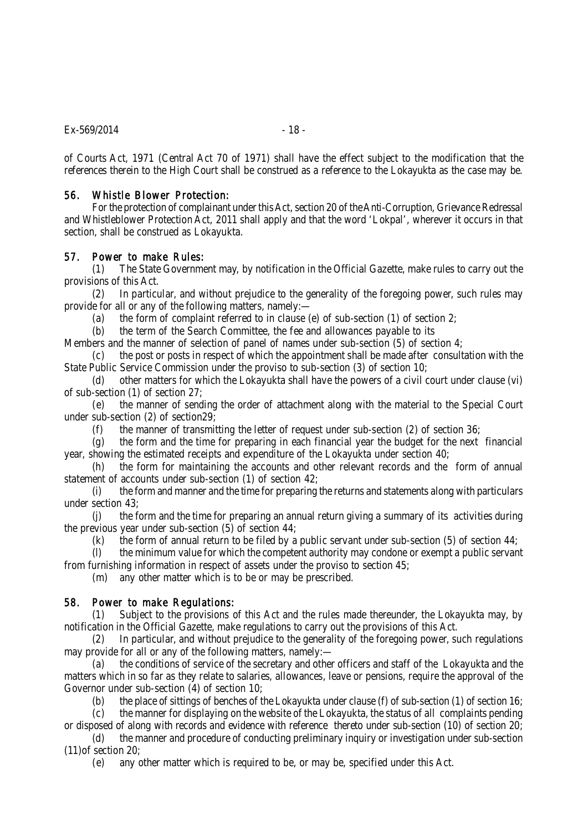of Courts Act, 1971 (Central Act 70 of 1971) shall have the effect subject to the modification that the references therein to the High Court shall be construed as a reference to the Lokayukta as the case may be.

## 56. Whistle Blower Protection:

For the protection of complainant under this Act, section 20 of the Anti-Corruption, Grievance Redressal and Whistleblower Protection Act, 2011 shall apply and that the word 'Lokpal', wherever it occurs in that section, shall be construed as Lokayukta.

# 57. Power to make Rules:

(1) The State Government may, by notification in the Official Gazette, make rules to carry out the provisions of this Act.

(2) In particular, and without prejudice to the generality of the foregoing power, such rules may provide for all or any of the following matters, namely:—

(a) the form of complaint referred to in clause (e) of sub-section (1) of section 2;

(b) the term of the Search Committee, the fee and allowances payable to its

Members and the manner of selection of panel of names under sub-section (5) of section 4;

(c) the post or posts in respect of which the appointment shall be made after consultation with the State Public Service Commission under the proviso to sub-section (3) of section 10;

(d) other matters for which the Lokayukta shall have the powers of a civil court under clause (vi) of sub-section (1) of section 27;

(e) the manner of sending the order of attachment along with the material to the Special Court under sub-section (2) of section29;

(f) the manner of transmitting the letter of request under sub-section (2) of section 36;

(g) the form and the time for preparing in each financial year the budget for the next financial year, showing the estimated receipts and expenditure of the Lokayukta under section 40;

(h) the form for maintaining the accounts and other relevant records and the form of annual statement of accounts under sub-section (1) of section 42;

(i) the form and manner and the time for preparing the returns and statements along with particulars under section 43;

(j) the form and the time for preparing an annual return giving a summary of its activities during the previous year under sub-section (5) of section 44;

(k) the form of annual return to be filed by a public servant under sub-section (5) of section  $44$ ;

(l) the minimum value for which the competent authority may condone or exempt a public servant from furnishing information in respect of assets under the proviso to section 45;

(m) any other matter which is to be or may be prescribed.

# 58. Power to make Regulations:

(1) Subject to the provisions of this Act and the rules made thereunder, the Lokayukta may, by notification in the Official Gazette, make regulations to carry out the provisions of this Act.

(2) In particular, and without prejudice to the generality of the foregoing power, such regulations may provide for all or any of the following matters, namely:—

(a) the conditions of service of the secretary and other officers and staff of the Lokayukta and the matters which in so far as they relate to salaries, allowances, leave or pensions, require the approval of the Governor under sub-section (4) of section 10;

(b) the place of sittings of benches of the Lokayukta under clause (f) of sub-section (1) of section 16;

(c) the manner for displaying on the website of the Lokayukta, the status of all complaints pending or disposed of along with records and evidence with reference thereto under sub-section (10) of section 20;

(d) the manner and procedure of conducting preliminary inquiry or investigation under sub-section (11)of section 20;

(e) any other matter which is required to be, or may be, specified under this Act.